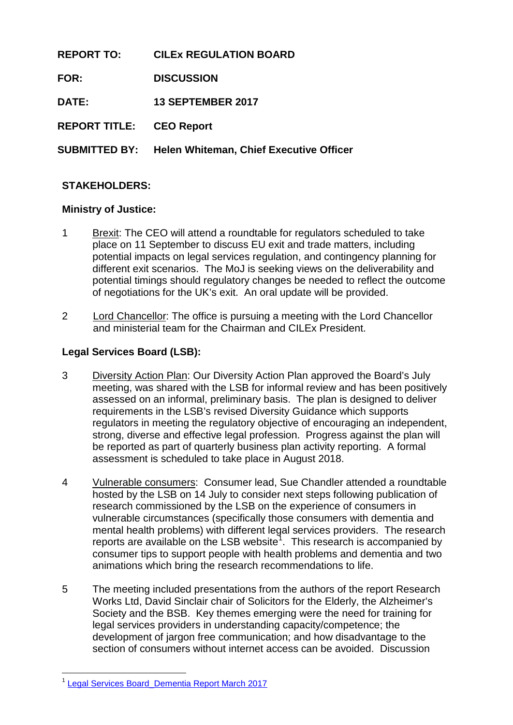**REPORT TO: CILEx REGULATION BOARD FOR: DISCUSSION DATE: 13 SEPTEMBER 2017 REPORT TITLE: CEO Report SUBMITTED BY: Helen Whiteman, Chief Executive Officer**

## **STAKEHOLDERS:**

### **Ministry of Justice:**

- 1 Brexit: The CEO will attend a roundtable for regulators scheduled to take place on 11 September to discuss EU exit and trade matters, including potential impacts on legal services regulation, and contingency planning for different exit scenarios. The MoJ is seeking views on the deliverability and potential timings should regulatory changes be needed to reflect the outcome of negotiations for the UK's exit. An oral update will be provided.
- 2 Lord Chancellor: The office is pursuing a meeting with the Lord Chancellor and ministerial team for the Chairman and CILEx President.

### **Legal Services Board (LSB):**

- 3 Diversity Action Plan: Our Diversity Action Plan approved the Board's July meeting, was shared with the LSB for informal review and has been positively assessed on an informal, preliminary basis. The plan is designed to deliver requirements in the LSB's revised Diversity Guidance which supports regulators in meeting the regulatory objective of encouraging an independent, strong, diverse and effective legal profession. Progress against the plan will be reported as part of quarterly business plan activity reporting. A formal assessment is scheduled to take place in August 2018.
- 4 Vulnerable consumers: Consumer lead, Sue Chandler attended a roundtable hosted by the LSB on 14 July to consider next steps following publication of research commissioned by the LSB on the experience of consumers in vulnerable circumstances (specifically those consumers with dementia and mental health problems) with different legal services providers. The research reports are available on the LSB website<sup>[1](#page-0-0)</sup>. This research is accompanied by consumer tips to support people with health problems and dementia and two animations which bring the research recommendations to life.
- 5 The meeting included presentations from the authors of the report Research Works Ltd, David Sinclair chair of Solicitors for the Elderly, the Alzheimer's Society and the BSB. Key themes emerging were the need for training for legal services providers in understanding capacity/competence; the development of jargon free communication; and how disadvantage to the section of consumers without internet access can be avoided. Discussion

-

<span id="page-0-0"></span>[Legal Services Board\\_Dementia](http://www.legalservicesboard.org.uk/news_publications/LSB_News/PDF/2017/20170614_LSB_launches_research_into_vulnerable_consumers_experience_of_legal_services.html) Report March 2017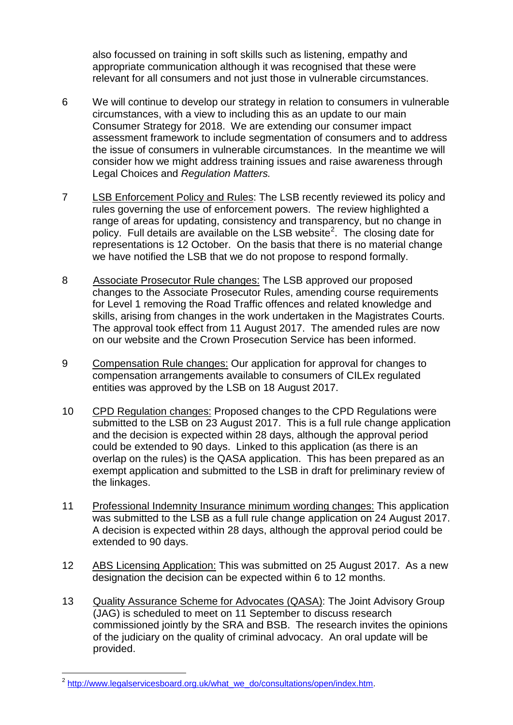also focussed on training in soft skills such as listening, empathy and appropriate communication although it was recognised that these were relevant for all consumers and not just those in vulnerable circumstances.

- 6 We will continue to develop our strategy in relation to consumers in vulnerable circumstances, with a view to including this as an update to our main Consumer Strategy for 2018. We are extending our consumer impact assessment framework to include segmentation of consumers and to address the issue of consumers in vulnerable circumstances. In the meantime we will consider how we might address training issues and raise awareness through Legal Choices and *Regulation Matters.*
- 7 LSB Enforcement Policy and Rules: The LSB recently reviewed its policy and rules governing the use of enforcement powers. The review highlighted a range of areas for updating, consistency and transparency, but no change in policy. Full details are available on the LSB website<sup>[2](#page-1-0)</sup>. The closing date for representations is 12 October. On the basis that there is no material change we have notified the LSB that we do not propose to respond formally.
- 8 Associate Prosecutor Rule changes: The LSB approved our proposed changes to the Associate Prosecutor Rules, amending course requirements for Level 1 removing the Road Traffic offences and related knowledge and skills, arising from changes in the work undertaken in the Magistrates Courts. The approval took effect from 11 August 2017. The amended rules are now on our website and the Crown Prosecution Service has been informed.
- 9 Compensation Rule changes: Our application for approval for changes to compensation arrangements available to consumers of CILEx regulated entities was approved by the LSB on 18 August 2017.
- 10 CPD Regulation changes: Proposed changes to the CPD Regulations were submitted to the LSB on 23 August 2017. This is a full rule change application and the decision is expected within 28 days, although the approval period could be extended to 90 days. Linked to this application (as there is an overlap on the rules) is the QASA application. This has been prepared as an exempt application and submitted to the LSB in draft for preliminary review of the linkages.
- 11 Professional Indemnity Insurance minimum wording changes: This application was submitted to the LSB as a full rule change application on 24 August 2017. A decision is expected within 28 days, although the approval period could be extended to 90 days.
- 12 ABS Licensing Application: This was submitted on 25 August 2017. As a new designation the decision can be expected within 6 to 12 months.
- 13 Quality Assurance Scheme for Advocates (QASA): The Joint Advisory Group (JAG) is scheduled to meet on 11 September to discuss research commissioned jointly by the SRA and BSB. The research invites the opinions of the judiciary on the quality of criminal advocacy. An oral update will be provided.

-

<span id="page-1-0"></span><sup>&</sup>lt;sup>2</sup> [http://www.legalservicesboard.org.uk/what\\_we\\_do/consultations/open/index.htm.](https://emea01.safelinks.protection.outlook.com/?url=http%3A%2F%2Fwww.legalservicesboard.org.uk%2Fwhat_we_do%2Fconsultations%2Fopen%2Findex.htm&data=02%7C01%7Chelen.whiteman%40cilexregulation.org.uk%7Ca6f008088c814143eea808d4e0ba8e4f%7C9096e35ab9874b109fed671978bc83e8%7C1%7C0%7C636380539240734988&sdata=sOxpCBHp8b3TTgCEc3PJTdFvo%2BLQRujK1XsO52vRlCo%3D&reserved=0)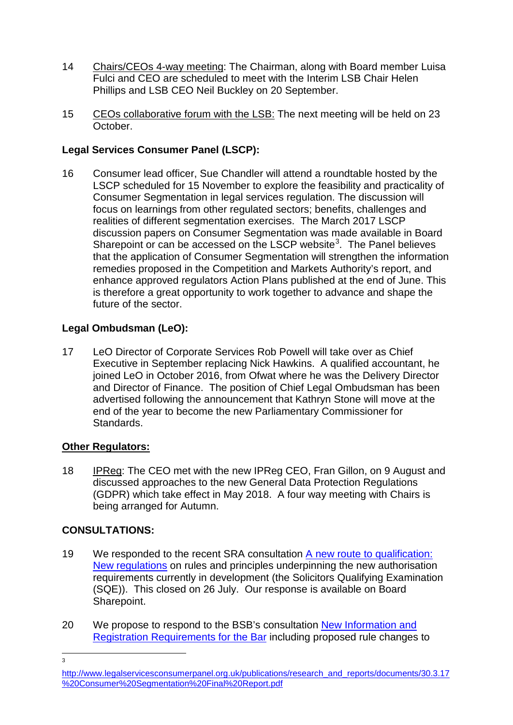- 14 Chairs/CEOs 4-way meeting: The Chairman, along with Board member Luisa Fulci and CEO are scheduled to meet with the Interim LSB Chair Helen Phillips and LSB CEO Neil Buckley on 20 September.
- 15 CEOs collaborative forum with the LSB: The next meeting will be held on 23 October.

# **Legal Services Consumer Panel (LSCP):**

16 Consumer lead officer, Sue Chandler will attend a roundtable hosted by the LSCP scheduled for 15 November to explore the feasibility and practicality of Consumer Segmentation in legal services regulation. The discussion will focus on learnings from other regulated sectors; benefits, challenges and realities of different segmentation exercises. The March 2017 LSCP discussion papers on Consumer Segmentation was made available in Board Sharepoint or can be accessed on the LSCP website<sup>[3](#page-2-0)</sup>. The Panel believes that the application of Consumer Segmentation will strengthen the information remedies proposed in the Competition and Markets Authority's report, and enhance approved regulators Action Plans published at the end of June. This is therefore a great opportunity to work together to advance and shape the future of the sector.

## **Legal Ombudsman (LeO):**

17 LeO Director of Corporate Services Rob Powell will take over as Chief Executive in September replacing Nick Hawkins. A qualified accountant, he joined LeO in October 2016, from Ofwat where he was the Delivery Director and Director of Finance. The position of Chief Legal Ombudsman has been advertised following the announcement that Kathryn Stone will move at the end of the year to become the new Parliamentary Commissioner for Standards.

## **Other Regulators:**

18 IPReg: The CEO met with the new IPReg CEO, Fran Gillon, on 9 August and discussed approaches to the new General Data Protection Regulations (GDPR) which take effect in May 2018. A four way meeting with Chairs is being arranged for Autumn.

## **CONSULTATIONS:**

- 19 We responded to the recent SRA consultation A new route to qualification: [New regulations](https://www.sra.org.uk/sra/consultations/new-regulations.page) on rules and principles underpinning the new authorisation requirements currently in development (the Solicitors Qualifying Examination (SQE)). This closed on 26 July. Our response is available on Board Sharepoint.
- 20 We propose to respond to the BSB's consultation New Information and [Registration Requirements for the Bar](https://www.barstandardsboard.org.uk/media/1834166/draft_consultation_paper__006__jwrwchem_amendments_v3.pdf) including proposed rule changes to

 $\frac{1}{3}$ 

<span id="page-2-0"></span>[http://www.legalservicesconsumerpanel.org.uk/publications/research\\_and\\_reports/documents/30.3.17](http://www.legalservicesconsumerpanel.org.uk/publications/research_and_reports/documents/30.3.17%20Consumer%20Segmentation%20Final%20Report.pdf) [%20Consumer%20Segmentation%20Final%20Report.pdf](http://www.legalservicesconsumerpanel.org.uk/publications/research_and_reports/documents/30.3.17%20Consumer%20Segmentation%20Final%20Report.pdf)